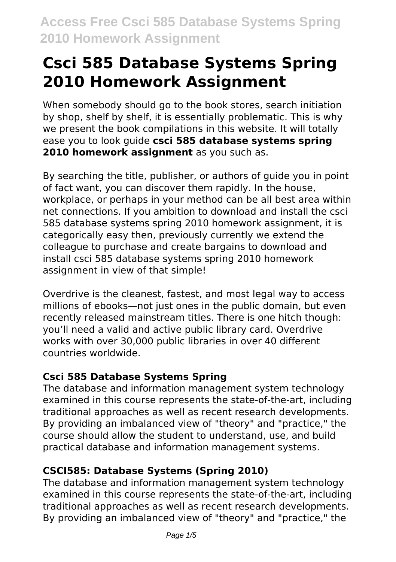When somebody should go to the book stores, search initiation by shop, shelf by shelf, it is essentially problematic. This is why we present the book compilations in this website. It will totally ease you to look guide **csci 585 database systems spring 2010 homework assignment** as you such as.

By searching the title, publisher, or authors of guide you in point of fact want, you can discover them rapidly. In the house, workplace, or perhaps in your method can be all best area within net connections. If you ambition to download and install the csci 585 database systems spring 2010 homework assignment, it is categorically easy then, previously currently we extend the colleague to purchase and create bargains to download and install csci 585 database systems spring 2010 homework assignment in view of that simple!

Overdrive is the cleanest, fastest, and most legal way to access millions of ebooks—not just ones in the public domain, but even recently released mainstream titles. There is one hitch though: you'll need a valid and active public library card. Overdrive works with over 30,000 public libraries in over 40 different countries worldwide.

### **Csci 585 Database Systems Spring**

The database and information management system technology examined in this course represents the state-of-the-art, including traditional approaches as well as recent research developments. By providing an imbalanced view of "theory" and "practice," the course should allow the student to understand, use, and build practical database and information management systems.

### **CSCI585: Database Systems (Spring 2010)**

The database and information management system technology examined in this course represents the state-of-the-art, including traditional approaches as well as recent research developments. By providing an imbalanced view of "theory" and "practice," the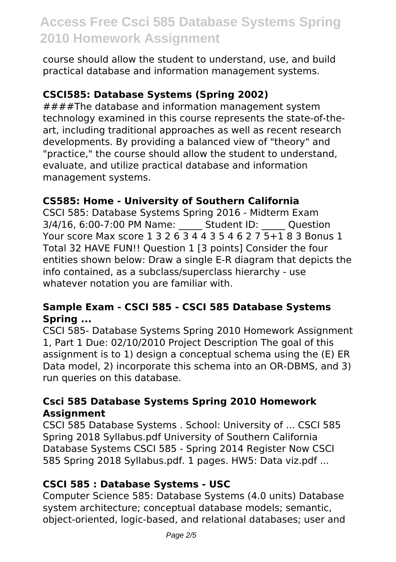course should allow the student to understand, use, and build practical database and information management systems.

#### **CSCI585: Database Systems (Spring 2002)**

####The database and information management system technology examined in this course represents the state-of-theart, including traditional approaches as well as recent research developments. By providing a balanced view of "theory" and "practice," the course should allow the student to understand, evaluate, and utilize practical database and information management systems.

#### **CS585: Home - University of Southern California**

CSCI 585: Database Systems Spring 2016 - Midterm Exam 3/4/16, 6:00-7:00 PM Name: \_\_\_\_\_ Student ID: \_\_\_\_\_ Question Your score Max score 1 3 2 6 3 4 4 3 5 4 6 2 7 5+1 8 3 Bonus 1 Total 32 HAVE FUN!! Question 1 [3 points] Consider the four entities shown below: Draw a single E-R diagram that depicts the info contained, as a subclass/superclass hierarchy - use whatever notation you are familiar with.

#### **Sample Exam - CSCI 585 - CSCI 585 Database Systems Spring ...**

CSCI 585- Database Systems Spring 2010 Homework Assignment 1, Part 1 Due: 02/10/2010 Project Description The goal of this assignment is to 1) design a conceptual schema using the (E) ER Data model, 2) incorporate this schema into an OR-DBMS, and 3) run queries on this database.

#### **Csci 585 Database Systems Spring 2010 Homework Assignment**

CSCI 585 Database Systems . School: University of ... CSCI 585 Spring 2018 Syllabus.pdf University of Southern California Database Systems CSCI 585 - Spring 2014 Register Now CSCI 585 Spring 2018 Syllabus.pdf. 1 pages. HW5: Data viz.pdf ...

#### **CSCI 585 : Database Systems - USC**

Computer Science 585: Database Systems (4.0 units) Database system architecture; conceptual database models; semantic, object-oriented, logic-based, and relational databases; user and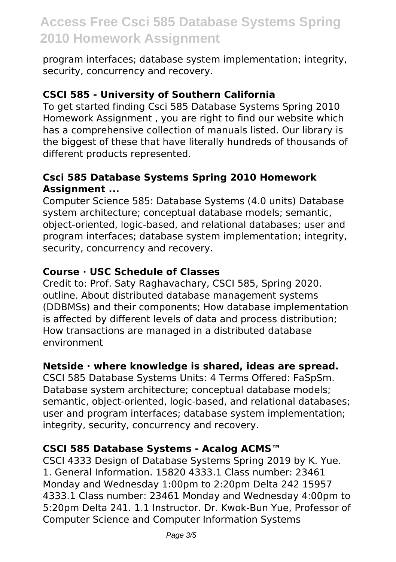program interfaces; database system implementation; integrity, security, concurrency and recovery.

#### **CSCI 585 - University of Southern California**

To get started finding Csci 585 Database Systems Spring 2010 Homework Assignment , you are right to find our website which has a comprehensive collection of manuals listed. Our library is the biggest of these that have literally hundreds of thousands of different products represented.

#### **Csci 585 Database Systems Spring 2010 Homework Assignment ...**

Computer Science 585: Database Systems (4.0 units) Database system architecture; conceptual database models; semantic, object-oriented, logic-based, and relational databases; user and program interfaces; database system implementation; integrity, security, concurrency and recovery.

#### **Course · USC Schedule of Classes**

Credit to: Prof. Saty Raghavachary, CSCI 585, Spring 2020. outline. About distributed database management systems (DDBMSs) and their components; How database implementation is affected by different levels of data and process distribution; How transactions are managed in a distributed database environment

#### **Netside · where knowledge is shared, ideas are spread.**

CSCI 585 Database Systems Units: 4 Terms Offered: FaSpSm. Database system architecture; conceptual database models; semantic, object-oriented, logic-based, and relational databases; user and program interfaces; database system implementation; integrity, security, concurrency and recovery.

#### **CSCI 585 Database Systems - Acalog ACMS™**

CSCI 4333 Design of Database Systems Spring 2019 by K. Yue. 1. General Information. 15820 4333.1 Class number: 23461 Monday and Wednesday 1:00pm to 2:20pm Delta 242 15957 4333.1 Class number: 23461 Monday and Wednesday 4:00pm to 5:20pm Delta 241. 1.1 Instructor. Dr. Kwok-Bun Yue, Professor of Computer Science and Computer Information Systems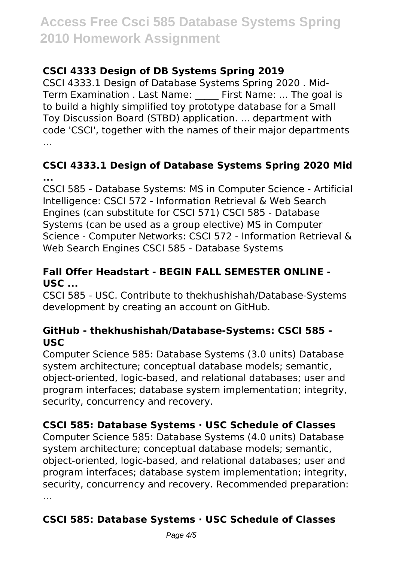### **CSCI 4333 Design of DB Systems Spring 2019**

CSCI 4333.1 Design of Database Systems Spring 2020 . Mid-Term Examination . Last Name: First Name: ... The goal is to build a highly simplified toy prototype database for a Small Toy Discussion Board (STBD) application. ... department with code 'CSCI', together with the names of their major departments ...

#### **CSCI 4333.1 Design of Database Systems Spring 2020 Mid ...**

CSCI 585 - Database Systems: MS in Computer Science - Artificial Intelligence: CSCI 572 - Information Retrieval & Web Search Engines (can substitute for CSCI 571) CSCI 585 - Database Systems (can be used as a group elective) MS in Computer Science - Computer Networks: CSCI 572 - Information Retrieval & Web Search Engines CSCI 585 - Database Systems

#### **Fall Offer Headstart - BEGIN FALL SEMESTER ONLINE - USC ...**

CSCI 585 - USC. Contribute to thekhushishah/Database-Systems development by creating an account on GitHub.

#### **GitHub - thekhushishah/Database-Systems: CSCI 585 - USC**

Computer Science 585: Database Systems (3.0 units) Database system architecture; conceptual database models; semantic, object-oriented, logic-based, and relational databases; user and program interfaces; database system implementation; integrity, security, concurrency and recovery.

### **CSCI 585: Database Systems · USC Schedule of Classes**

Computer Science 585: Database Systems (4.0 units) Database system architecture; conceptual database models; semantic, object-oriented, logic-based, and relational databases; user and program interfaces; database system implementation; integrity, security, concurrency and recovery. Recommended preparation: ...

## **CSCI 585: Database Systems · USC Schedule of Classes**